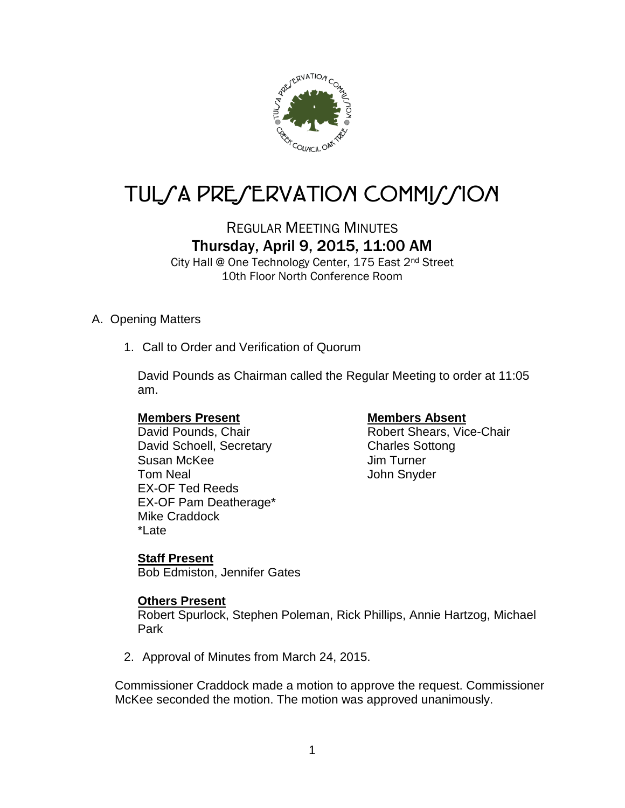

# TUL/A PRE/ERVATION COMMI*J*/ION

# REGULAR MEETING MINUTES Thursday, April 9, 2015, 11:00 AM

City Hall @ One Technology Center, 175 East 2nd Street 10th Floor North Conference Room

# A. Opening Matters

1. Call to Order and Verification of Quorum

David Pounds as Chairman called the Regular Meeting to order at 11:05 am.

David Schoell, Secretary Charles Sottong Susan McKee Jim Turner Tom Neal **Tom Neal** EX-OF Ted Reeds EX-OF Pam Deatherage\* Mike Craddock \*Late

# **Members Present Members Absent**

David Pounds, Chair **Robert Shears**, Vice-Chair

# **Staff Present**

Bob Edmiston, Jennifer Gates

# **Others Present**

Robert Spurlock, Stephen Poleman, Rick Phillips, Annie Hartzog, Michael Park

2. Approval of Minutes from March 24, 2015.

Commissioner Craddock made a motion to approve the request. Commissioner McKee seconded the motion. The motion was approved unanimously.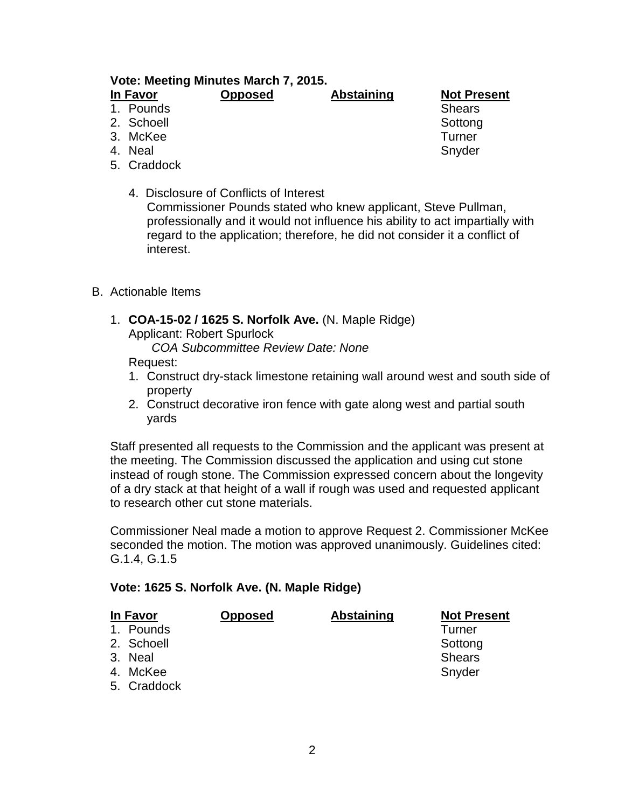### **Vote: Meeting Minutes March 7, 2015. In Favor Opposed Abstaining Not Present**

# 1. Pounds and Shears Shears Shears Shears Shears Shears Shears Shears Shears Shears Shears Shears Shears Shears

- 
- 
- 
- 4. Neal **Shutter South America** Shutter Shutter Shutter Shutter Shutter Shutter Shutter
- 5. Craddock
	- 4. Disclosure of Conflicts of Interest Commissioner Pounds stated who knew applicant, Steve Pullman, professionally and it would not influence his ability to act impartially with regard to the application; therefore, he did not consider it a conflict of interest.
- B. Actionable Items
	- 1. **COA-15-02 / 1625 S. Norfolk Ave.** (N. Maple Ridge) Applicant: Robert Spurlock *COA Subcommittee Review Date: None*

Request:

- 1. Construct dry-stack limestone retaining wall around west and south side of property
- 2. Construct decorative iron fence with gate along west and partial south yards

Staff presented all requests to the Commission and the applicant was present at the meeting. The Commission discussed the application and using cut stone instead of rough stone. The Commission expressed concern about the longevity of a dry stack at that height of a wall if rough was used and requested applicant to research other cut stone materials.

Commissioner Neal made a motion to approve Request 2. Commissioner McKee seconded the motion. The motion was approved unanimously. Guidelines cited: G.1.4, G.1.5

# **Vote: 1625 S. Norfolk Ave. (N. Maple Ridge)**

| <b>In Favor</b> |             | <b>Opposed</b> | <b>Abstaining</b> | <b>Not Present</b> |
|-----------------|-------------|----------------|-------------------|--------------------|
|                 | 1. Pounds   |                |                   | Turner             |
|                 | 2. Schoell  |                |                   | Sottong            |
|                 | 3. Neal     |                |                   | <b>Shears</b>      |
|                 | 4. McKee    |                |                   | Snyder             |
|                 | 5. Craddock |                |                   |                    |

2. Schoell Sottong Sottong Sottong Sottong Sottong Sottong Sottong Sottong Sottong Sottong Sottong Sottong Sottong Sottong Sottong Sottong Sottong Sottong Sottong Sottong Sottong Sottong Sottong Sottong Sottong Sottong Sot 3. McKee Turner<br>
4. Neal Snyder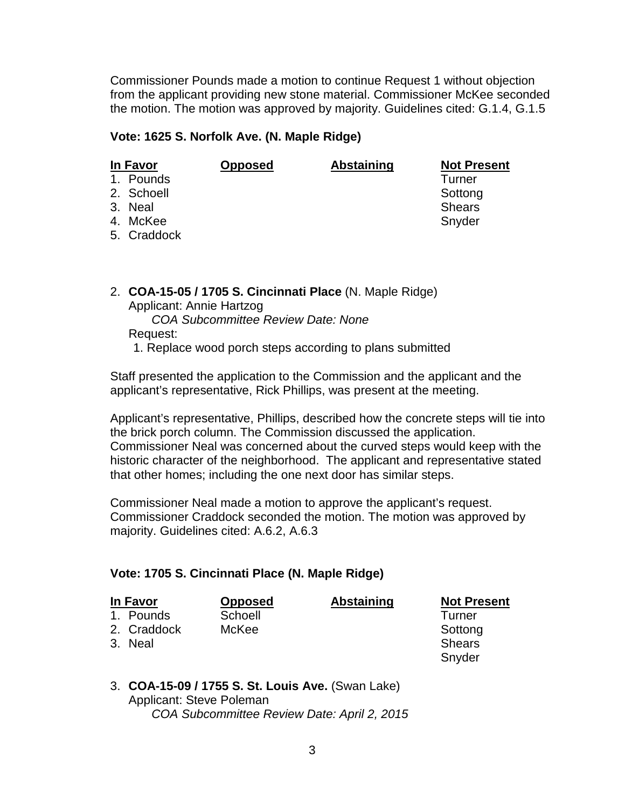Commissioner Pounds made a motion to continue Request 1 without objection from the applicant providing new stone material. Commissioner McKee seconded the motion. The motion was approved by majority. Guidelines cited: G.1.4, G.1.5

# **Vote: 1625 S. Norfolk Ave. (N. Maple Ridge)**

| In Favor |             | <b>Opposed</b> | <b>Abstaining</b> | <b>Not Present</b> |
|----------|-------------|----------------|-------------------|--------------------|
|          | 1. Pounds   |                |                   | Turner             |
|          | 2. Schoell  |                |                   | Sottong            |
|          | 3. Neal     |                |                   | <b>Shears</b>      |
|          | 4. McKee    |                |                   | Snyder             |
|          | 5. Craddock |                |                   |                    |

2. **COA-15-05 / 1705 S. Cincinnati Place** (N. Maple Ridge) Applicant: Annie Hartzog *COA Subcommittee Review Date: None* Request: 1. Replace wood porch steps according to plans submitted

Staff presented the application to the Commission and the applicant and the applicant's representative, Rick Phillips, was present at the meeting.

Applicant's representative, Phillips, described how the concrete steps will tie into the brick porch column. The Commission discussed the application. Commissioner Neal was concerned about the curved steps would keep with the historic character of the neighborhood. The applicant and representative stated that other homes; including the one next door has similar steps.

Commissioner Neal made a motion to approve the applicant's request. Commissioner Craddock seconded the motion. The motion was approved by majority. Guidelines cited: A.6.2, A.6.3

# **Vote: 1705 S. Cincinnati Place (N. Maple Ridge)**

| In Favor    | <b>Opposed</b> | <b>Abstaining</b> | <b>Not Present</b> |  |
|-------------|----------------|-------------------|--------------------|--|
| 1. Pounds   | Schoell        |                   | Turner             |  |
| 2. Craddock | McKee          |                   | Sottong            |  |
| 3. Neal     |                |                   | <b>Shears</b>      |  |
|             |                |                   | Snyder             |  |

### 3. **COA-15-09 / 1755 S. St. Louis Ave.** (Swan Lake) Applicant: Steve Poleman *COA Subcommittee Review Date: April 2, 2015*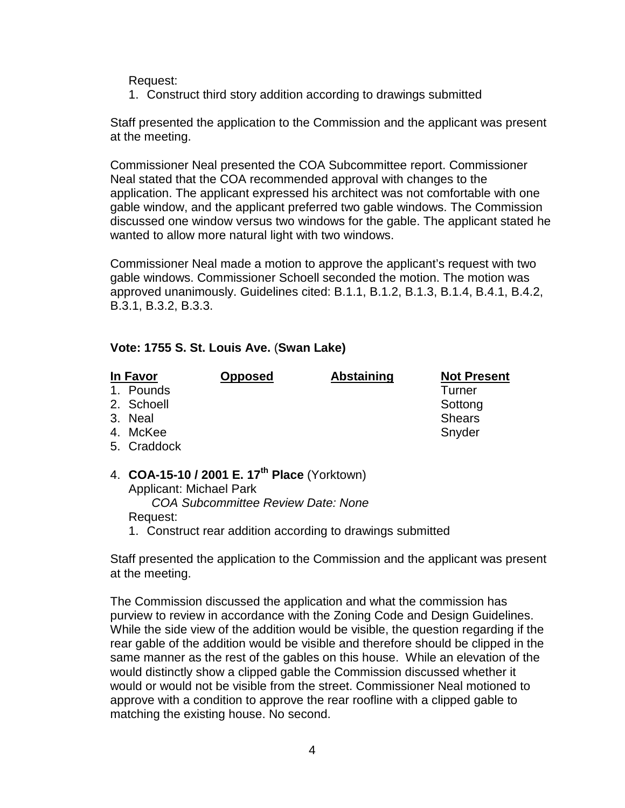Request:

1. Construct third story addition according to drawings submitted

Staff presented the application to the Commission and the applicant was present at the meeting.

Commissioner Neal presented the COA Subcommittee report. Commissioner Neal stated that the COA recommended approval with changes to the application. The applicant expressed his architect was not comfortable with one gable window, and the applicant preferred two gable windows. The Commission discussed one window versus two windows for the gable. The applicant stated he wanted to allow more natural light with two windows.

Commissioner Neal made a motion to approve the applicant's request with two gable windows. Commissioner Schoell seconded the motion. The motion was approved unanimously. Guidelines cited: B.1.1, B.1.2, B.1.3, B.1.4, B.4.1, B.4.2, B.3.1, B.3.2, B.3.3.

# **Vote: 1755 S. St. Louis Ave.** (**Swan Lake)**

| In Favor    | <b>Opposed</b>                                           | <b>Abstaining</b> | <b>Not Present</b> |
|-------------|----------------------------------------------------------|-------------------|--------------------|
| 1. Pounds   |                                                          |                   | <b>Turner</b>      |
| 2. Schoell  |                                                          |                   | Sottong            |
| 3. Neal     |                                                          |                   | <b>Shears</b>      |
| 4. McKee    |                                                          |                   | Snyder             |
| 5. Craddock |                                                          |                   |                    |
|             | 4. COA-15-10 / 2001 E. 17 <sup>th</sup> Place (Yorktown) |                   |                    |

Applicant: Michael Park *COA Subcommittee Review Date: None*

Request:

1. Construct rear addition according to drawings submitted

Staff presented the application to the Commission and the applicant was present at the meeting.

The Commission discussed the application and what the commission has purview to review in accordance with the Zoning Code and Design Guidelines. While the side view of the addition would be visible, the question regarding if the rear gable of the addition would be visible and therefore should be clipped in the same manner as the rest of the gables on this house. While an elevation of the would distinctly show a clipped gable the Commission discussed whether it would or would not be visible from the street. Commissioner Neal motioned to approve with a condition to approve the rear roofline with a clipped gable to matching the existing house. No second.